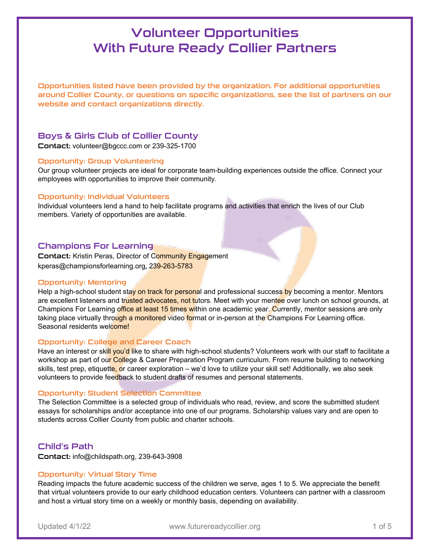Opportunities listed have been provided by the organization. For additional opportunities around Collier County, or questions on specific organizations, see the list of partners on our website and contact organizations directly.

## Boys & Girls Club of Collier County

Contact: [volunteer@bgccc.com](mailto:volunteer@bgccc.com) or 239-325-1700

## Opportunity: Group Volunteering

Our group volunteer projects are ideal for corporate team-building experiences outside the office. Connect your employees with opportunities to improve their community.

## Opportunity: Individual Volunteers

Individual volunteers lend a hand to help facilitate programs and activities that enrich the lives of our Club members. Variety of opportunities are available.

## Champions For Learning

Contact: Kristin Peras, Director of Community Engagement kperas@championsforlearning.org, 239-263-5783

## Opportunity: Mentoring

Help a high-school student stay on track for personal and professional success by becoming a mentor. Mentors are excellent listeners and trusted advocates, not tutors. Meet with your mentee over lunch on school grounds, at Champions For Learning office at least 15 times within one academic year. Currently, mentor sessions are only taking place virtually through a monitored video format or in-person at the Champions For Learning office. Seasonal residents welcome!

## Opportunity: College and Career Coach

Have an interest or skill you'd like to share with high-school students? Volunteers work with our staff to facilitate a workshop as part of our College & Career Preparation Program curriculum. From resume building to networking skills, test prep, etiquette, or career exploration – we'd love to utilize your skill set! Additionally, we also seek volunteers to provide feedback to student drafts of resumes and personal statements.

## Opportunity: Student Selection Committee

The Selection Committee is a selected group of individuals who read, review, and score the submitted student essays for scholarships and/or acceptance into one of our programs. Scholarship values vary and are open to students across Collier County from public and charter schools.

## Child's Path

Contact: info@childspath.org, 239-643-3908

## Opportunity: Virtual Story Time

Reading impacts the future academic success of the children we serve, ages 1 to 5. We appreciate the benefit that virtual volunteers provide to our early childhood education centers. Volunteers can partner with a classroom and host a virtual story time on a weekly or monthly basis, depending on availability.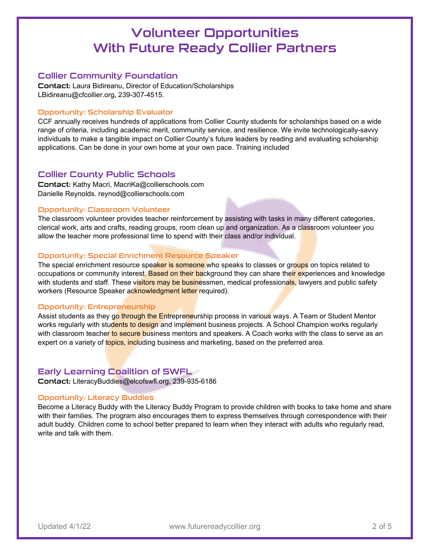## Collier Community Foundation

Contact: Laura Bidireanu, Director of Education/Scholarships LBidireanu@cfcollier.org, 239-307-4515.

## Opportunity: Scholarship Evaluator

CCF annually receives hundreds of applications from Collier County students for scholarships based on a wide range of criteria, including academic merit, community service, and resilience. We invite technologically-savvy individuals to make a tangible impact on Collier County's future leaders by reading and evaluating scholarship applications. Can be done in your own home at your own pace. Training included

## Collier County Public Schools

Contact: Kathy Macri, [MacriKa@collierschools.com](mailto:MacriKa@collierschools.com)  Danielle Reynolds. [reynod@collierschools.com](mailto:reynod@collierschools.com)

#### Opportunity: Classroom Volunteer

The classroom volunteer provides teacher reinforcement by assisting with tasks in many different categories, clerical work, arts and crafts, reading groups, room clean up and organization. As a classroom volunteer you allow the teacher more professional time to spend with their class and/or individual.

## Opportunity: Special Enrichment Resource Speaker

The special enrichment resource speaker is someone who speaks to classes or groups on topics related to occupations or community interest. Based on their background they can share their experiences and knowledge with students and staff. These visitors may be businessmen, medical professionals, lawyers and public safety workers (Resource Speaker acknowledgment letter required).

#### Opportunity: Entrepreneurship

Assist students as they go through the Entrepreneurship process in various ways. A Team or Student Mentor works regularly with students to design and implement business projects. A School Champion works regularly with classroom teacher to secure business mentors and speakers. A Coach works with the class to serve as an expert on a variety of topics, including business and marketing, based on the preferred area.

## Early Learning Coalition of SWFL

Contact: [LiteracyBuddies@elcofswfl.org,](mailto:LiteracyBuddies@elcofswfl.org) 239-935-6186

## Opportunity: Literacy Buddies

Become a Literacy Buddy with the Literacy Buddy Program to provide children with books to take home and share with their families. The program also encourages them to express themselves through correspondence with their adult buddy. Children come to school better prepared to learn when they interact with adults who regularly read, write and talk with them.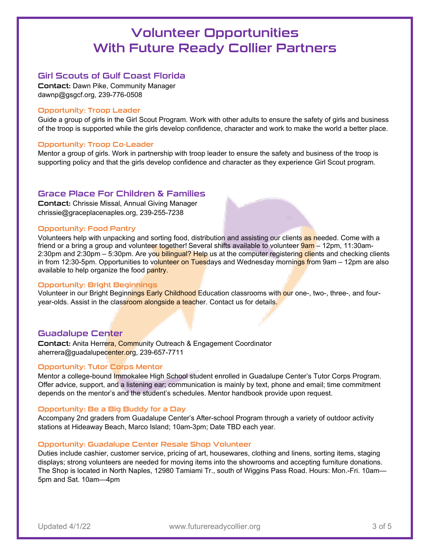## Girl Scouts of Gulf Coast Florida

Contact: Dawn Pike, Community Manager dawnp@gsgcf.org, 239-776-0508

## Opportunity: Troop Leader

Guide a group of girls in the Girl Scout Program. Work with other adults to ensure the safety of girls and business of the troop is supported while the girls develop confidence, character and work to make the world a better place.

## Opportunity: Troop Co-Leader

Mentor a group of girls. Work in partnership with troop leader to ensure the safety and business of the troop is supporting policy and that the girls develop confidence and character as they experience Girl Scout program.

## Grace Place For Children & Families

Contact: Chrissie Missal, Annual Giving Manager chrissie@graceplacenaples.org, 239-255-7238

## Opportunity: Food Pantry

Volunteers help with unpacking and sorting food, distribution and assisting our clients as needed. Come with a friend or a bring a group and volunteer together! Several shifts available to volunteer 9am – 12pm, 11:30am-2:30pm and 2:30pm – 5:30pm. Are you bilingual? Help us at the computer registering clients and checking clients in from 12:30-5pm. Opportunities to volunteer on Tuesdays and Wednesday mornings from 9am – 12pm are also available to help organize the food pantry.

## Opportunity: Bright Beginnings

Volunteer in our Bright Beginnings Early Childhood Education classrooms with our one-, two-, three-, and fouryear-olds. Assist in the classroom alongside a teacher. Contact us for details.

## Guadalupe Center

Contact: Anita Herrera, Community Outreach & Engagement Coordinator aherrera@guadalupecenter.org, 239-657-7711

## Opportunity: Tutor Corps Mentor

Mentor a college-bound **Immokalee High School student enrolled in Guadalupe Center's Tutor Corps Program.** Offer advice, support, and a listening ear; communication is mainly by text, phone and email; time commitment depends on the mentor's and the student's schedules. Mentor handbook provide upon request.

## Opportunity: Be a Big Buddy for a Day

Accompany 2nd graders from Guadalupe Center's After-school Program through a variety of outdoor activity stations at Hideaway Beach, Marco Island; 10am-3pm; Date TBD each year.

#### Opportunity: Guadalupe Center Resale Shop Volunteer

Duties include cashier, customer service, pricing of art, housewares, clothing and linens, sorting items, staging displays; strong volunteers are needed for moving items into the showrooms and accepting furniture donations. The Shop is located in North Naples, 12980 Tamiami Tr., south of Wiggins Pass Road. Hours: Mon.-Fri. 10am— 5pm and Sat. 10am—4pm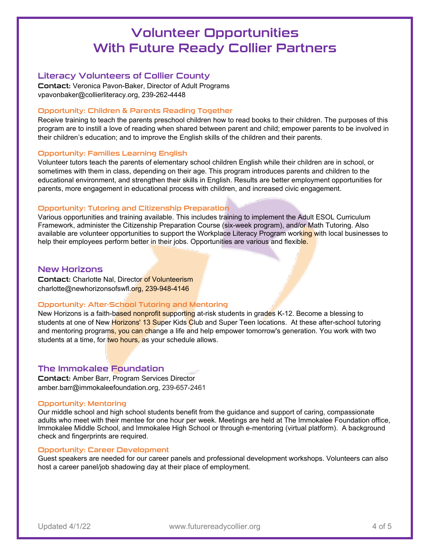## Literacy Volunteers of Collier County

Contact: Veronica Pavon-Baker, Director of Adult Programs vpavonbaker@collierliteracy.org, 239-262-4448

## Opportunity: Children & Parents Reading Together

Receive training to teach the parents preschool children how to read books to their children. The purposes of this program are to instill a love of reading when shared between parent and child; empower parents to be involved in their children's education; and to improve the English skills of the children and their parents.

## Opportunity: Families Learning English

Volunteer tutors teach the parents of elementary school children English while their children are in school, or sometimes with them in class, depending on their age. This program introduces parents and children to the educational environment, and strengthen their skills in English. Results are better employment opportunities for parents, more engagement in educational process with children, and increased civic engagement.

## Opportunity: Tutoring and Citizenship Preparation

Various opportunities and training available. This includes training to implement the Adult ESOL Curriculum Framework, administer the Citizenship Preparation Course (six-week program), and/or Math Tutoring. Also available are volunteer opportunities to support the Workplace Literacy Program working with local businesses to help their employees perform better in their jobs. Opportunities are various and flexible.

## New Horizons

Contact: Charlotte Nal, Director of Volunteerism charlotte@newhorizonsofswfl.org, 239-948-4146

## Opportunity: After-School Tutoring and Mentoring

New Horizons is a faith-based nonprofit supporting at-risk students in grades K-12. Become a blessing to students at one of New Horizons' 13 Super Kids Club and Super Teen locations. At these after-school tutoring and mentoring programs, you can change a life and help empower tomorrow's generation. You work with two students at a time, for two hours, as your schedule allows.

## The Immokalee Foundation

Contact: Amber Barr, Program Services Director amber.barr@immokaleefoundation.org, 239-657-2461

## Opportunity: Mentoring

Our middle school and high school students benefit from the guidance and support of caring, compassionate adults who meet with their mentee for one hour per week. Meetings are held at The Immokalee Foundation office, Immokalee Middle School, and Immokalee High School or through e-mentoring (virtual platform). A background check and fingerprints are required.

## Opportunity: Career Development

Guest speakers are needed for our career panels and professional development workshops. Volunteers can also host a career panel/job shadowing day at their place of employment.